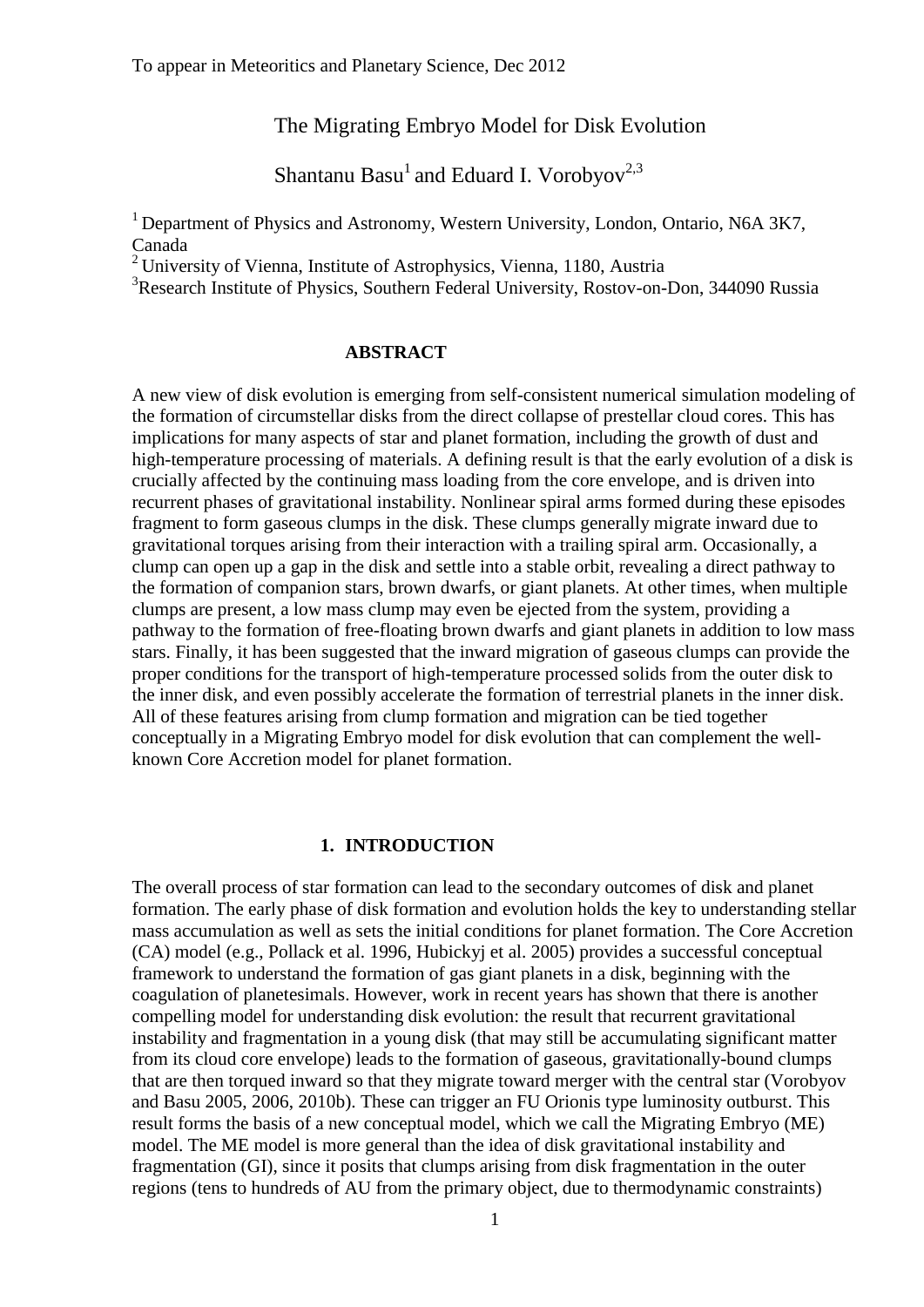## The Migrating Embryo Model for Disk Evolution

Shantanu Basu<sup>1</sup> and Eduard I. Vorobyov<sup>2,3</sup>

<sup>1</sup> Department of Physics and Astronomy, Western University, London, Ontario, N6A 3K7, Canada

<sup>2</sup> University of Vienna, Institute of Astrophysics, Vienna, 1180, Austria

<sup>3</sup>Research Institute of Physics, Southern Federal University, Rostov-on-Don, 344090 Russia

## **ABSTRACT**

A new view of disk evolution is emerging from self-consistent numerical simulation modeling of the formation of circumstellar disks from the direct collapse of prestellar cloud cores. This has implications for many aspects of star and planet formation, including the growth of dust and high-temperature processing of materials. A defining result is that the early evolution of a disk is crucially affected by the continuing mass loading from the core envelope, and is driven into recurrent phases of gravitational instability. Nonlinear spiral arms formed during these episodes fragment to form gaseous clumps in the disk. These clumps generally migrate inward due to gravitational torques arising from their interaction with a trailing spiral arm. Occasionally, a clump can open up a gap in the disk and settle into a stable orbit, revealing a direct pathway to the formation of companion stars, brown dwarfs, or giant planets. At other times, when multiple clumps are present, a low mass clump may even be ejected from the system, providing a pathway to the formation of free-floating brown dwarfs and giant planets in addition to low mass stars. Finally, it has been suggested that the inward migration of gaseous clumps can provide the proper conditions for the transport of high-temperature processed solids from the outer disk to the inner disk, and even possibly accelerate the formation of terrestrial planets in the inner disk. All of these features arising from clump formation and migration can be tied together conceptually in a Migrating Embryo model for disk evolution that can complement the wellknown Core Accretion model for planet formation.

## **1. INTRODUCTION**

The overall process of star formation can lead to the secondary outcomes of disk and planet formation. The early phase of disk formation and evolution holds the key to understanding stellar mass accumulation as well as sets the initial conditions for planet formation. The Core Accretion (CA) model (e.g., Pollack et al. 1996, Hubickyj et al. 2005) provides a successful conceptual framework to understand the formation of gas giant planets in a disk, beginning with the coagulation of planetesimals. However, work in recent years has shown that there is another compelling model for understanding disk evolution: the result that recurrent gravitational instability and fragmentation in a young disk (that may still be accumulating significant matter from its cloud core envelope) leads to the formation of gaseous, gravitationally-bound clumps that are then torqued inward so that they migrate toward merger with the central star (Vorobyov and Basu 2005, 2006, 2010b). These can trigger an FU Orionis type luminosity outburst. This result forms the basis of a new conceptual model, which we call the Migrating Embryo (ME) model. The ME model is more general than the idea of disk gravitational instability and fragmentation (GI), since it posits that clumps arising from disk fragmentation in the outer regions (tens to hundreds of AU from the primary object, due to thermodynamic constraints)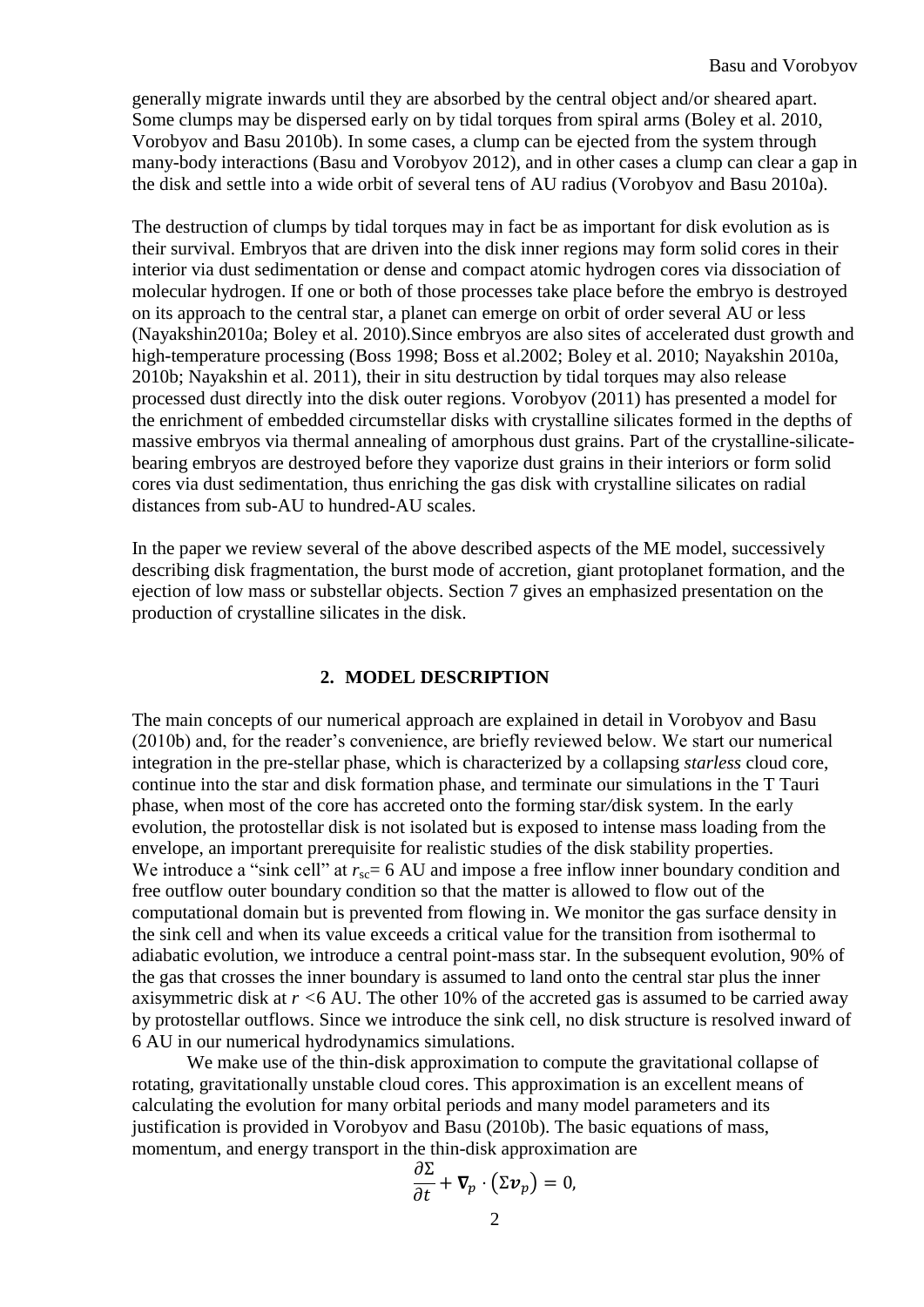generally migrate inwards until they are absorbed by the central object and/or sheared apart. Some clumps may be dispersed early on by tidal torques from spiral arms (Boley et al. 2010, Vorobyov and Basu 2010b). In some cases, a clump can be ejected from the system through many-body interactions (Basu and Vorobyov 2012), and in other cases a clump can clear a gap in the disk and settle into a wide orbit of several tens of AU radius (Vorobyov and Basu 2010a).

The destruction of clumps by tidal torques may in fact be as important for disk evolution as is their survival. Embryos that are driven into the disk inner regions may form solid cores in their interior via dust sedimentation or dense and compact atomic hydrogen cores via dissociation of molecular hydrogen. If one or both of those processes take place before the embryo is destroyed on its approach to the central star, a planet can emerge on orbit of order several AU or less (Nayakshin2010a; Boley et al. 2010).Since embryos are also sites of accelerated dust growth and high-temperature processing (Boss 1998; Boss et al.2002; Boley et al. 2010; Nayakshin 2010a, 2010b; Nayakshin et al. 2011), their in situ destruction by tidal torques may also release processed dust directly into the disk outer regions. Vorobyov (2011) has presented a model for the enrichment of embedded circumstellar disks with crystalline silicates formed in the depths of massive embryos via thermal annealing of amorphous dust grains. Part of the crystalline-silicatebearing embryos are destroyed before they vaporize dust grains in their interiors or form solid cores via dust sedimentation, thus enriching the gas disk with crystalline silicates on radial distances from sub-AU to hundred-AU scales.

In the paper we review several of the above described aspects of the ME model, successively describing disk fragmentation, the burst mode of accretion, giant protoplanet formation, and the ejection of low mass or substellar objects. Section 7 gives an emphasized presentation on the production of crystalline silicates in the disk.

#### **2. MODEL DESCRIPTION**

The main concepts of our numerical approach are explained in detail in Vorobyov and Basu (2010b) and, for the reader's convenience, are briefly reviewed below. We start our numerical integration in the pre-stellar phase, which is characterized by a collapsing *starless* cloud core, continue into the star and disk formation phase, and terminate our simulations in the T Tauri phase, when most of the core has accreted onto the forming star*/*disk system. In the early evolution, the protostellar disk is not isolated but is exposed to intense mass loading from the envelope, an important prerequisite for realistic studies of the disk stability properties. We introduce a "sink cell" at  $r_{\rm sc}= 6$  AU and impose a free inflow inner boundary condition and free outflow outer boundary condition so that the matter is allowed to flow out of the computational domain but is prevented from flowing in. We monitor the gas surface density in the sink cell and when its value exceeds a critical value for the transition from isothermal to adiabatic evolution, we introduce a central point-mass star. In the subsequent evolution, 90% of the gas that crosses the inner boundary is assumed to land onto the central star plus the inner axisymmetric disk at *r <*6 AU. The other 10% of the accreted gas is assumed to be carried away by protostellar outflows. Since we introduce the sink cell, no disk structure is resolved inward of 6 AU in our numerical hydrodynamics simulations.

We make use of the thin-disk approximation to compute the gravitational collapse of rotating, gravitationally unstable cloud cores. This approximation is an excellent means of calculating the evolution for many orbital periods and many model parameters and its justification is provided in Vorobyov and Basu (2010b). The basic equations of mass, momentum, and energy transport in the thin-disk approximation are

$$
\frac{\partial \Sigma}{\partial t} + \boldsymbol{\nabla}_p \cdot (\Sigma \boldsymbol{v}_p) = 0,
$$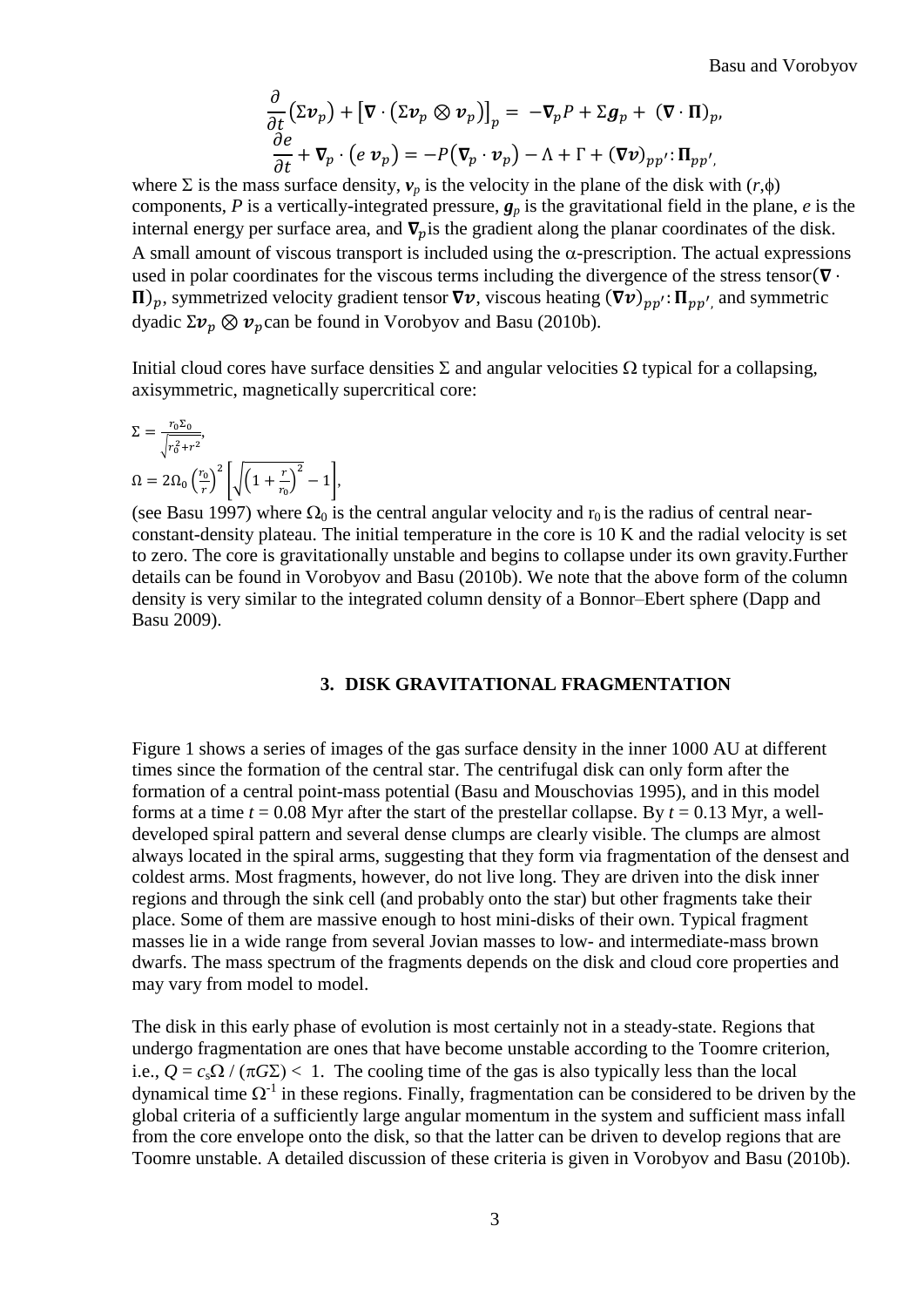$$
\frac{\partial}{\partial t} (\Sigma v_p) + [\nabla \cdot (\Sigma v_p \otimes v_p)]_p = -\nabla_p P + \Sigma g_p + (\nabla \cdot \Pi)_p,
$$
  

$$
\frac{\partial e}{\partial t} + \nabla_p \cdot (e \, v_p) = -P(\nabla_p \cdot v_p) - \Lambda + \Gamma + (\nabla v)_{pp'} \cdot \Pi_{pp'},
$$

where  $\Sigma$  is the mass surface density,  $v_p$  is the velocity in the plane of the disk with  $(r, \phi)$ components, *P* is a vertically-integrated pressure,  $g_p$  is the gravitational field in the plane, *e* is the internal energy per surface area, and  $\nabla$ <sub>n</sub> is the gradient along the planar coordinates of the disk. A small amount of viscous transport is included using the  $\alpha$ -prescription. The actual expressions used in polar coordinates for the viscous terms including the divergence of the stress tensor( $\nabla \cdot$  $\Pi$ <sub>p</sub>, symmetrized velocity gradient tensor  $\nabla v$ , viscous heating  $(\nabla v)_{pp'}$ :  $\Pi_{pp'}$  and symmetric dyadic  $\Sigma v_p \otimes v_p$ can be found in Vorobyov and Basu (2010b).

Initial cloud cores have surface densities  $\Sigma$  and angular velocities  $\Omega$  typical for a collapsing, axisymmetric, magnetically supercritical core:

$$
\Sigma = \frac{r_0 \Sigma_0}{\sqrt{r_0^2 + r^2}},
$$
  
\n
$$
\Omega = 2\Omega_0 \left(\frac{r_0}{r}\right)^2 \left[\sqrt{\left(1 + \frac{r}{r_0}\right)^2} - 1\right],
$$

(see Basu 1997) where  $\Omega_0$  is the central angular velocity and  $r_0$  is the radius of central nearconstant-density plateau. The initial temperature in the core is 10 K and the radial velocity is set to zero. The core is gravitationally unstable and begins to collapse under its own gravity.Further details can be found in Vorobyov and Basu (2010b). We note that the above form of the column density is very similar to the integrated column density of a Bonnor–Ebert sphere (Dapp and Basu 2009).

#### **3. DISK GRAVITATIONAL FRAGMENTATION**

Figure 1 shows a series of images of the gas surface density in the inner 1000 AU at different times since the formation of the central star. The centrifugal disk can only form after the formation of a central point-mass potential (Basu and Mouschovias 1995), and in this model forms at a time  $t = 0.08$  Myr after the start of the prestellar collapse. By  $t = 0.13$  Myr, a welldeveloped spiral pattern and several dense clumps are clearly visible. The clumps are almost always located in the spiral arms, suggesting that they form via fragmentation of the densest and coldest arms. Most fragments, however, do not live long. They are driven into the disk inner regions and through the sink cell (and probably onto the star) but other fragments take their place. Some of them are massive enough to host mini-disks of their own. Typical fragment masses lie in a wide range from several Jovian masses to low- and intermediate-mass brown dwarfs. The mass spectrum of the fragments depends on the disk and cloud core properties and may vary from model to model.

The disk in this early phase of evolution is most certainly not in a steady-state. Regions that undergo fragmentation are ones that have become unstable according to the Toomre criterion, i.e.,  $Q = c_s \Omega / (\pi G \Sigma) < 1$ . The cooling time of the gas is also typically less than the local dynamical time  $\Omega^{-1}$  in these regions. Finally, fragmentation can be considered to be driven by the global criteria of a sufficiently large angular momentum in the system and sufficient mass infall from the core envelope onto the disk, so that the latter can be driven to develop regions that are Toomre unstable. A detailed discussion of these criteria is given in Vorobyov and Basu (2010b).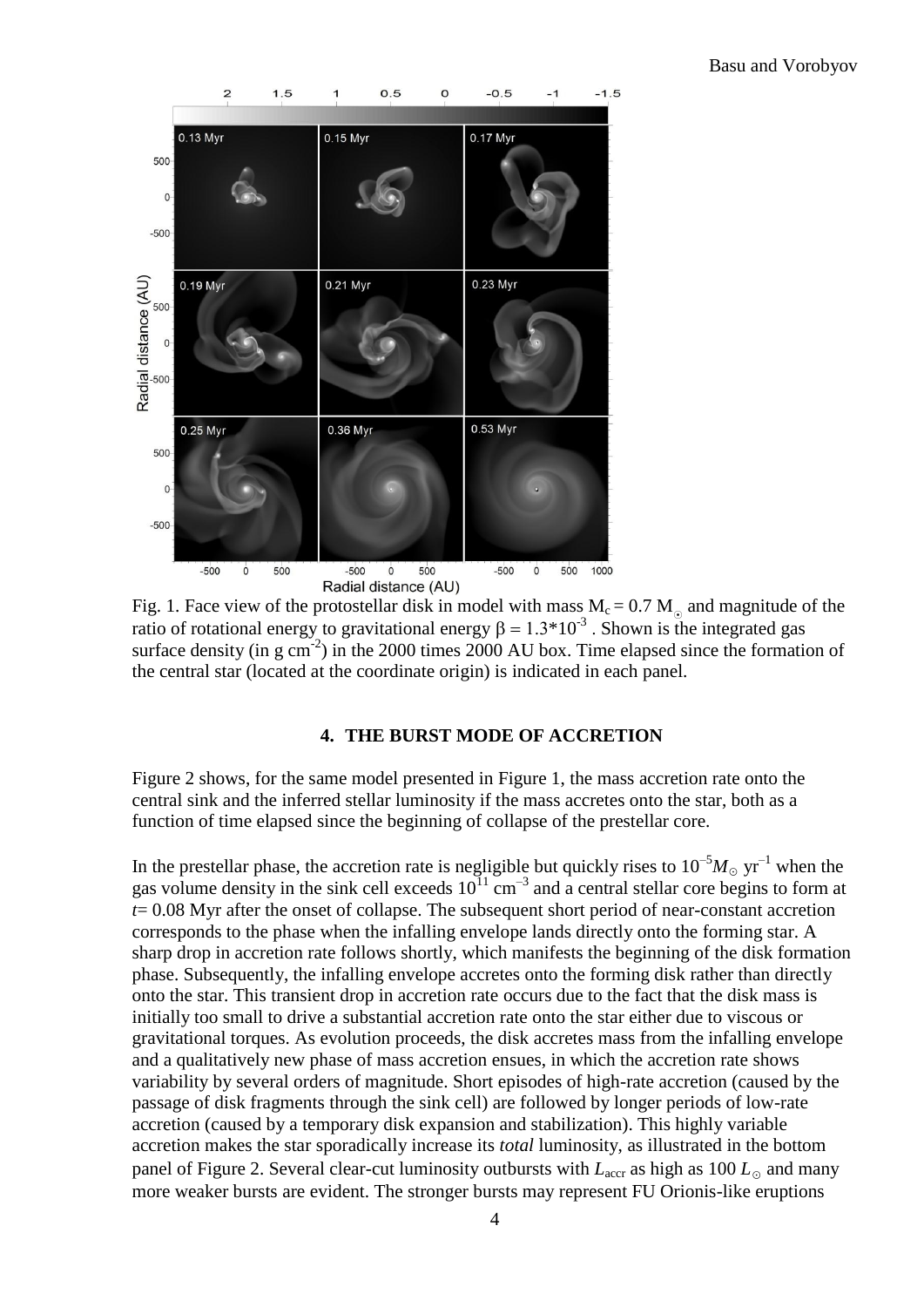

Fig. 1. Face view of the protostellar disk in model with mass  $M_c = 0.7 M_{\odot}$  and magnitude of the ratio of rotational energy to gravitational energy  $\beta = 1.3 \times 10^{-3}$ . Shown is the integrated gas surface density (in  $g \text{ cm}^{-2}$ ) in the 2000 times 2000 AU box. Time elapsed since the formation of the central star (located at the coordinate origin) is indicated in each panel.

## **4. THE BURST MODE OF ACCRETION**

Figure 2 shows, for the same model presented in Figure 1, the mass accretion rate onto the central sink and the inferred stellar luminosity if the mass accretes onto the star, both as a function of time elapsed since the beginning of collapse of the prestellar core.

In the prestellar phase, the accretion rate is negligible but quickly rises to  $10^{-5}M_{\odot}$  yr<sup>-1</sup> when the gas volume density in the sink cell exceeds  $10^{11}$  cm<sup>-3</sup> and a central stellar core begins to form at *t*= 0.08 Myr after the onset of collapse. The subsequent short period of near-constant accretion corresponds to the phase when the infalling envelope lands directly onto the forming star. A sharp drop in accretion rate follows shortly, which manifests the beginning of the disk formation phase. Subsequently, the infalling envelope accretes onto the forming disk rather than directly onto the star. This transient drop in accretion rate occurs due to the fact that the disk mass is initially too small to drive a substantial accretion rate onto the star either due to viscous or gravitational torques. As evolution proceeds, the disk accretes mass from the infalling envelope and a qualitatively new phase of mass accretion ensues, in which the accretion rate shows variability by several orders of magnitude. Short episodes of high-rate accretion (caused by the passage of disk fragments through the sink cell) are followed by longer periods of low-rate accretion (caused by a temporary disk expansion and stabilization). This highly variable accretion makes the star sporadically increase its *total* luminosity, as illustrated in the bottom panel of Figure 2. Several clear-cut luminosity outbursts with  $L_{\text{accr}}$  as high as 100  $L_{\odot}$  and many more weaker bursts are evident. The stronger bursts may represent FU Orionis-like eruptions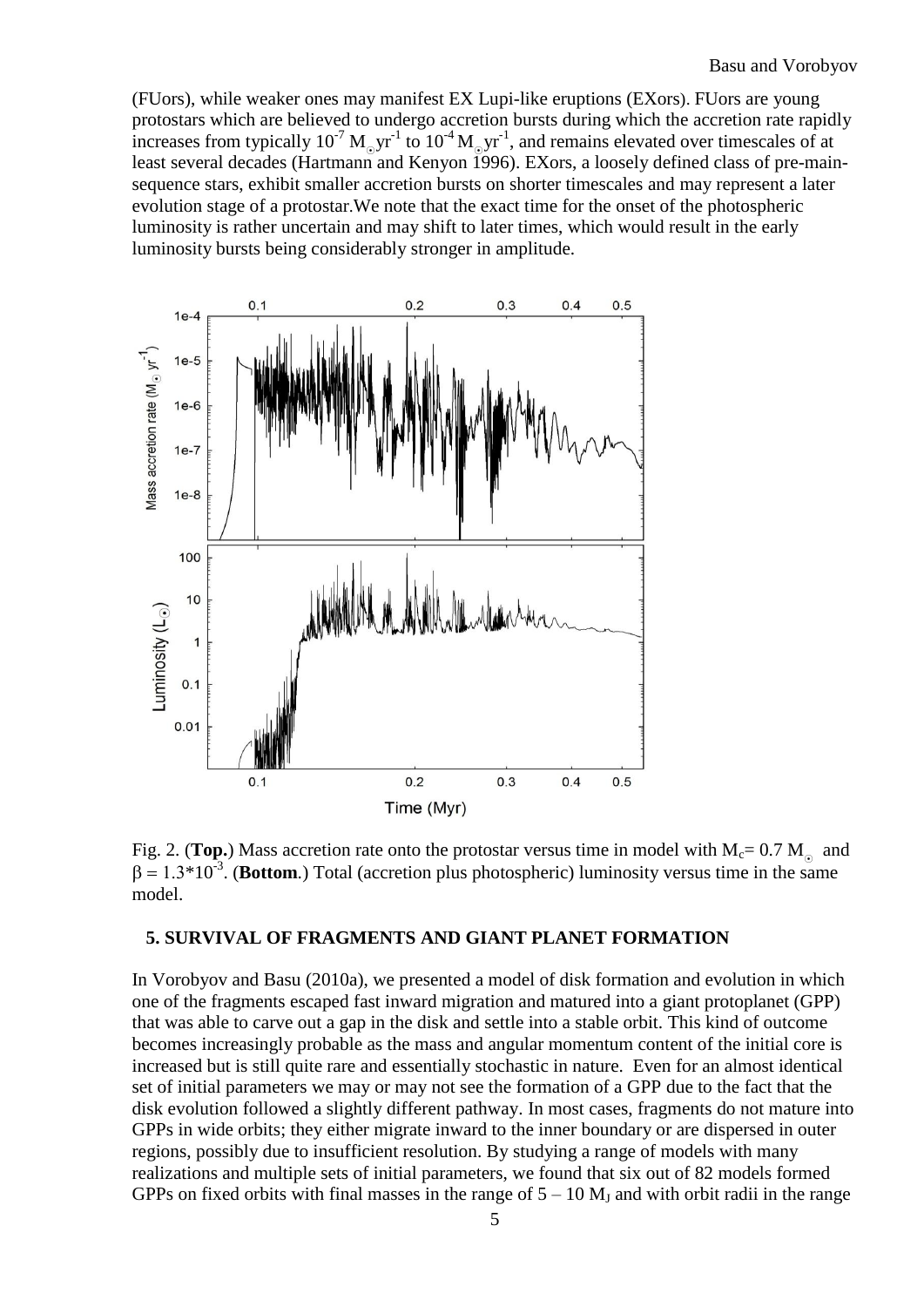(FUors), while weaker ones may manifest EX Lupi-like eruptions (EXors). FUors are young protostars which are believed to undergo accretion bursts during which the accretion rate rapidly increases from typically  $10^{-7} M_{\odot}yr^{-1}$  to  $10^{-4} M_{\odot}yr^{-1}$ , and remains elevated over timescales of at least several decades (Hartmann and Kenyon 1996). EXors, a loosely defined class of pre-mainsequence stars, exhibit smaller accretion bursts on shorter timescales and may represent a later evolution stage of a protostar.We note that the exact time for the onset of the photospheric luminosity is rather uncertain and may shift to later times, which would result in the early luminosity bursts being considerably stronger in amplitude.



Fig. 2. (Top.) Mass accretion rate onto the protostar versus time in model with  $M_c = 0.7 M_{\odot}$  and  $\beta = 1.3 \times 10^{-3}$ . (**Bottom**.) Total (accretion plus photospheric) luminosity versus time in the same model.

## **5. SURVIVAL OF FRAGMENTS AND GIANT PLANET FORMATION**

In Vorobyov and Basu (2010a), we presented a model of disk formation and evolution in which one of the fragments escaped fast inward migration and matured into a giant protoplanet (GPP) that was able to carve out a gap in the disk and settle into a stable orbit. This kind of outcome becomes increasingly probable as the mass and angular momentum content of the initial core is increased but is still quite rare and essentially stochastic in nature. Even for an almost identical set of initial parameters we may or may not see the formation of a GPP due to the fact that the disk evolution followed a slightly different pathway. In most cases, fragments do not mature into GPPs in wide orbits; they either migrate inward to the inner boundary or are dispersed in outer regions, possibly due to insufficient resolution. By studying a range of models with many realizations and multiple sets of initial parameters, we found that six out of 82 models formed GPPs on fixed orbits with final masses in the range of  $5 - 10$  M<sub>J</sub> and with orbit radii in the range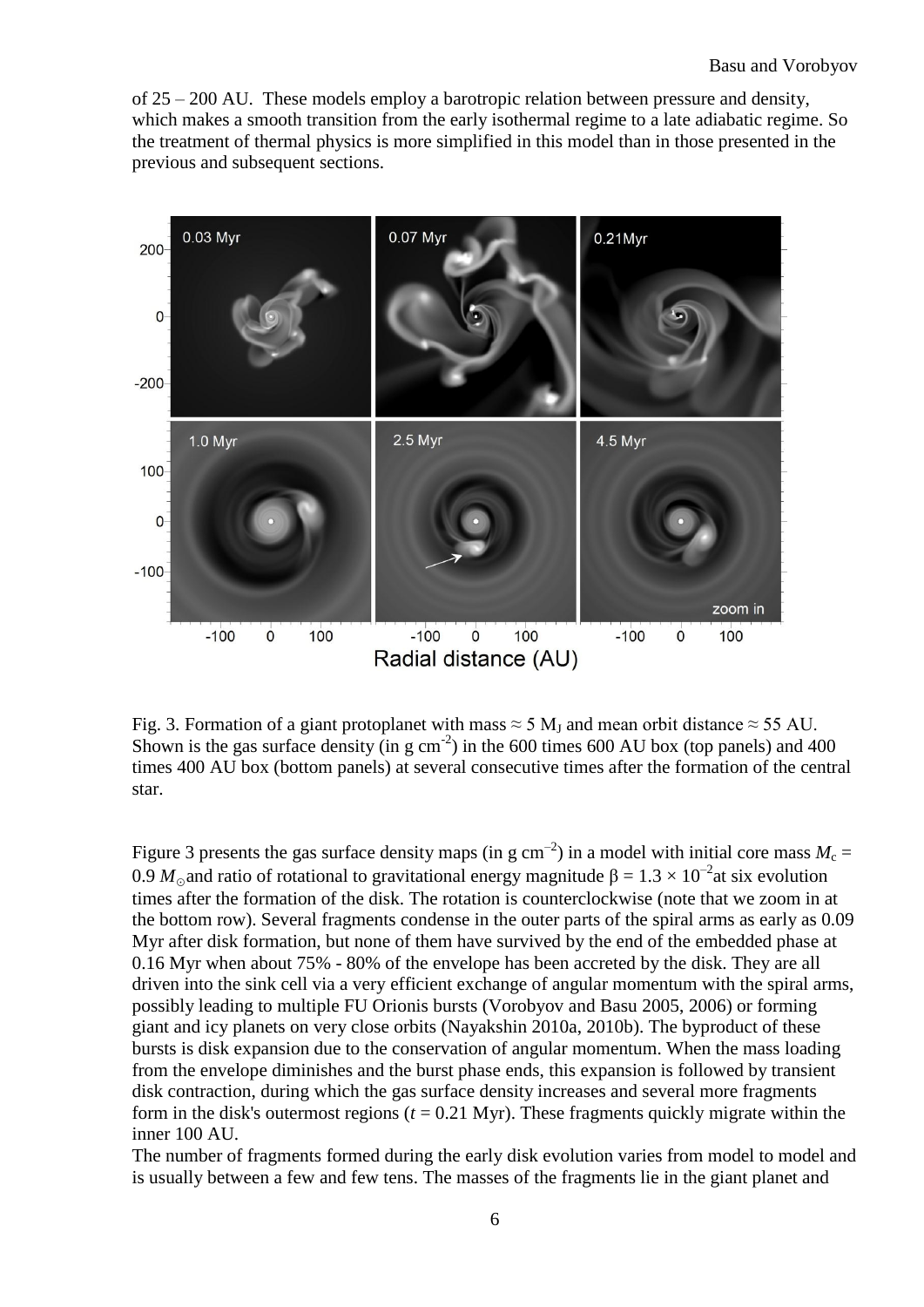of 25 – 200 AU. These models employ a barotropic relation between pressure and density, which makes a smooth transition from the early isothermal regime to a late adiabatic regime. So the treatment of thermal physics is more simplified in this model than in those presented in the previous and subsequent sections.



Fig. 3. Formation of a giant protoplanet with mass  $\approx$  5 M<sub>J</sub> and mean orbit distance  $\approx$  55 AU. Shown is the gas surface density (in g  $\text{cm}^{-2}$ ) in the 600 times 600 AU box (top panels) and 400 times 400 AU box (bottom panels) at several consecutive times after the formation of the central star.

Figure 3 presents the gas surface density maps (in g  $cm^{-2}$ ) in a model with initial core mass  $M_c =$ 0.9  $M_{\odot}$  and ratio of rotational to gravitational energy magnitude  $\beta = 1.3 \times 10^{-2}$ at six evolution times after the formation of the disk. The rotation is counterclockwise (note that we zoom in at the bottom row). Several fragments condense in the outer parts of the spiral arms as early as 0.09 Myr after disk formation, but none of them have survived by the end of the embedded phase at 0.16 Myr when about 75% - 80% of the envelope has been accreted by the disk. They are all driven into the sink cell via a very efficient exchange of angular momentum with the spiral arms, possibly leading to multiple FU Orionis bursts (Vorobyov and Basu [2005,](http://iopscience.iop.org.proxy1.lib.uwo.ca:2048/2041-8205/714/1/L133/fulltext/apjl_714_1_133.text.html#apjl346733r39) [2006\)](http://iopscience.iop.org.proxy1.lib.uwo.ca:2048/2041-8205/714/1/L133/fulltext/apjl_714_1_133.text.html#apjl346733r40) or forming giant and icy planets on very close orbits (Nayakshin 2010a, 2010b). The byproduct of these bursts is disk expansion due to the conservation of angular momentum. When the mass loading from the envelope diminishes and the burst phase ends, this expansion is followed by transient disk contraction, during which the gas surface density increases and several more fragments form in the disk's outermost regions  $(t = 0.21 \text{ Myr})$ . These fragments quickly migrate within the inner 100 AU.

The number of fragments formed during the early disk evolution varies from model to model and is usually between a few and few tens. The masses of the fragments lie in the giant planet and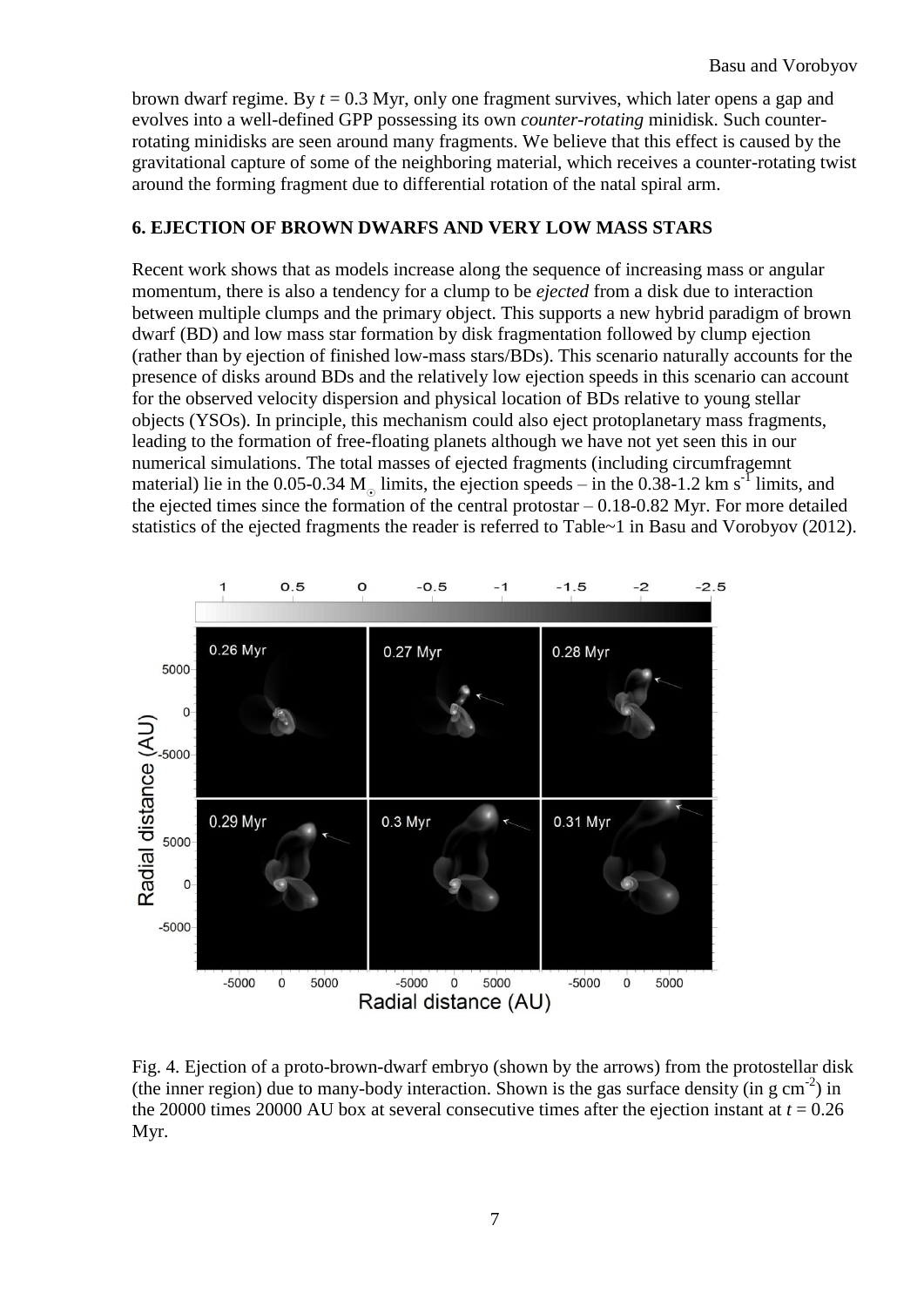brown dwarf regime. By *t* = 0.3 Myr, only one fragment survives, which later opens a gap and evolves into a well-defined GPP possessing its own *counter-rotating* minidisk. Such counterrotating minidisks are seen around many fragments. We believe that this effect is caused by the gravitational capture of some of the neighboring material, which receives a counter-rotating twist around the forming fragment due to differential rotation of the natal spiral arm.

# **6. EJECTION OF BROWN DWARFS AND VERY LOW MASS STARS**

Recent work shows that as models increase along the sequence of increasing mass or angular momentum, there is also a tendency for a clump to be *ejected* from a disk due to interaction between multiple clumps and the primary object. This supports a new hybrid paradigm of brown dwarf (BD) and low mass star formation by disk fragmentation followed by clump ejection (rather than by ejection of finished low-mass stars/BDs). This scenario naturally accounts for the presence of disks around BDs and the relatively low ejection speeds in this scenario can account for the observed velocity dispersion and physical location of BDs relative to young stellar objects (YSOs). In principle, this mechanism could also eject protoplanetary mass fragments, leading to the formation of free-floating planets although we have not yet seen this in our numerical simulations. The total masses of ejected fragments (including circumfragemnt material) lie in the 0.05-0.34 M<sub>o</sub> limits, the ejection speeds – in the 0.38-1.2 km s<sup>-1</sup> limits, and the ejected times since the formation of the central protostar – 0.18-0.82 Myr. For more detailed statistics of the ejected fragments the reader is referred to Table~1 in Basu and Vorobyov (2012).



Fig. 4. Ejection of a proto-brown-dwarf embryo (shown by the arrows) from the protostellar disk (the inner region) due to many-body interaction. Shown is the gas surface density (in g cm<sup>-2</sup>) in the 20000 times 20000 AU box at several consecutive times after the ejection instant at  $t = 0.26$ Myr.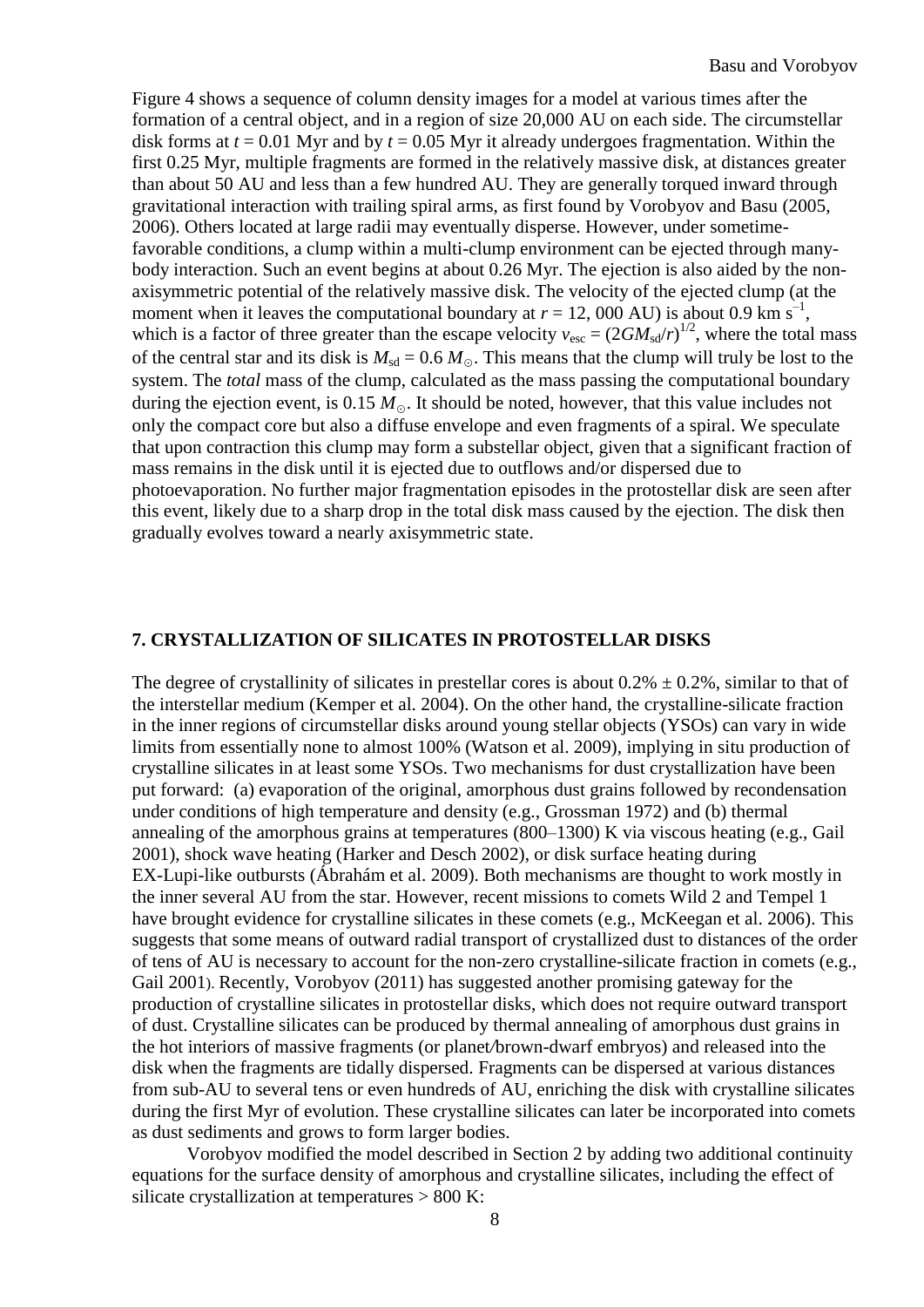Figure [4](http://iopscience.iop.org.proxy1.lib.uwo.ca:2048/0004-637X/750/1/30/fulltext/apj_750_1_30.text.html#apj424376f1) shows a sequence of column density images for a model at various times after the formation of a central object, and in a region of size 20,000 AU on each side. The circumstellar disk forms at *t* = 0.01 Myr and by *t* = 0.05 Myr it already undergoes fragmentation. Within the first 0.25 Myr, multiple fragments are formed in the relatively massive disk, at distances greater than about 50 AU and less than a few hundred AU. They are generally torqued inward through gravitational interaction with trailing spiral arms, as first found by Vorobyov and Basu [\(2005,](http://iopscience.iop.org.proxy1.lib.uwo.ca:2048/0004-637X/750/1/30/fulltext/apj_750_1_30.text.html#apj424376r32) [2006\)](http://iopscience.iop.org.proxy1.lib.uwo.ca:2048/0004-637X/750/1/30/fulltext/apj_750_1_30.text.html#apj424376r33). Others located at large radii may eventually disperse. However, under sometimefavorable conditions, a clump within a multi-clump environment can be ejected through manybody interaction. Such an event begins at about 0.26 Myr. The ejection is also aided by the nonaxisymmetric potential of the relatively massive disk. The velocity of the ejected clump (at the moment when it leaves the computational boundary at  $r = 12,000$  AU) is about 0.9 km s<sup>-1</sup>, which is a factor of three greater than the escape velocity  $v_{\text{esc}} = (2GM_{\text{sd}}/r)^{1/2}$ , where the total mass of the central star and its disk is  $M_{sd} = 0.6 M_{\odot}$ . This means that the clump will truly be lost to the system. The *total* mass of the clump, calculated as the mass passing the computational boundary during the ejection event, is 0.15  $M_{\odot}$ . It should be noted, however, that this value includes not only the compact core but also a diffuse envelope and even fragments of a spiral. We speculate that upon contraction this clump may form a substellar object, given that a significant fraction of mass remains in the disk until it is ejected due to outflows and/or dispersed due to photoevaporation. No further major fragmentation episodes in the protostellar disk are seen after this event, likely due to a sharp drop in the total disk mass caused by the ejection. The disk then gradually evolves toward a nearly axisymmetric state.

## **7. CRYSTALLIZATION OF SILICATES IN PROTOSTELLAR DISKS**

The degree of crystallinity of silicates in prestellar cores is about  $0.2\% \pm 0.2\%$ , similar to that of the interstellar medium (Kemper et al. 2004). On the other hand, the crystalline-silicate fraction in the inner regions of circumstellar disks around young stellar objects (YSOs) can vary in wide limits from essentially none to almost 100% (Watson et al. 2009), implying in situ production of crystalline silicates in at least some YSOs. Two mechanisms for dust crystallization have been put forward: (a) evaporation of the original, amorphous dust grains followed by recondensation under conditions of high temperature and density (e.g., Grossman 1972) and (b) thermal annealing of the amorphous grains at temperatures (800–1300) K via viscous heating (e.g., Gail 2001), shock wave heating (Harker and Desch 2002), or disk surface heating during EX-Lupi-like outbursts (Ábrahám et al. 2009). Both mechanisms are thought to work mostly in the inner several AU from the star. However, recent missions to comets Wild 2 and Tempel 1 have brought evidence for crystalline silicates in these comets (e.g., McKeegan et al. 2006). This suggests that some means of outward radial transport of crystallized dust to distances of the order of tens of AU is necessary to account for the non-zero crystalline-silicate fraction in comets (e.g., Gail 2001). Recently, Vorobyov (2011) has suggested another promising gateway for the production of crystalline silicates in protostellar disks, which does not require outward transport of dust. Crystalline silicates can be produced by thermal annealing of amorphous dust grains in the hot interiors of massive fragments (or planet*/*brown-dwarf embryos) and released into the disk when the fragments are tidally dispersed. Fragments can be dispersed at various distances from sub-AU to several tens or even hundreds of AU, enriching the disk with crystalline silicates during the first Myr of evolution. These crystalline silicates can later be incorporated into comets as dust sediments and grows to form larger bodies.

Vorobyov modified the model described in Section 2 by adding two additional continuity equations for the surface density of amorphous and crystalline silicates, including the effect of silicate crystallization at temperatures > 800 K: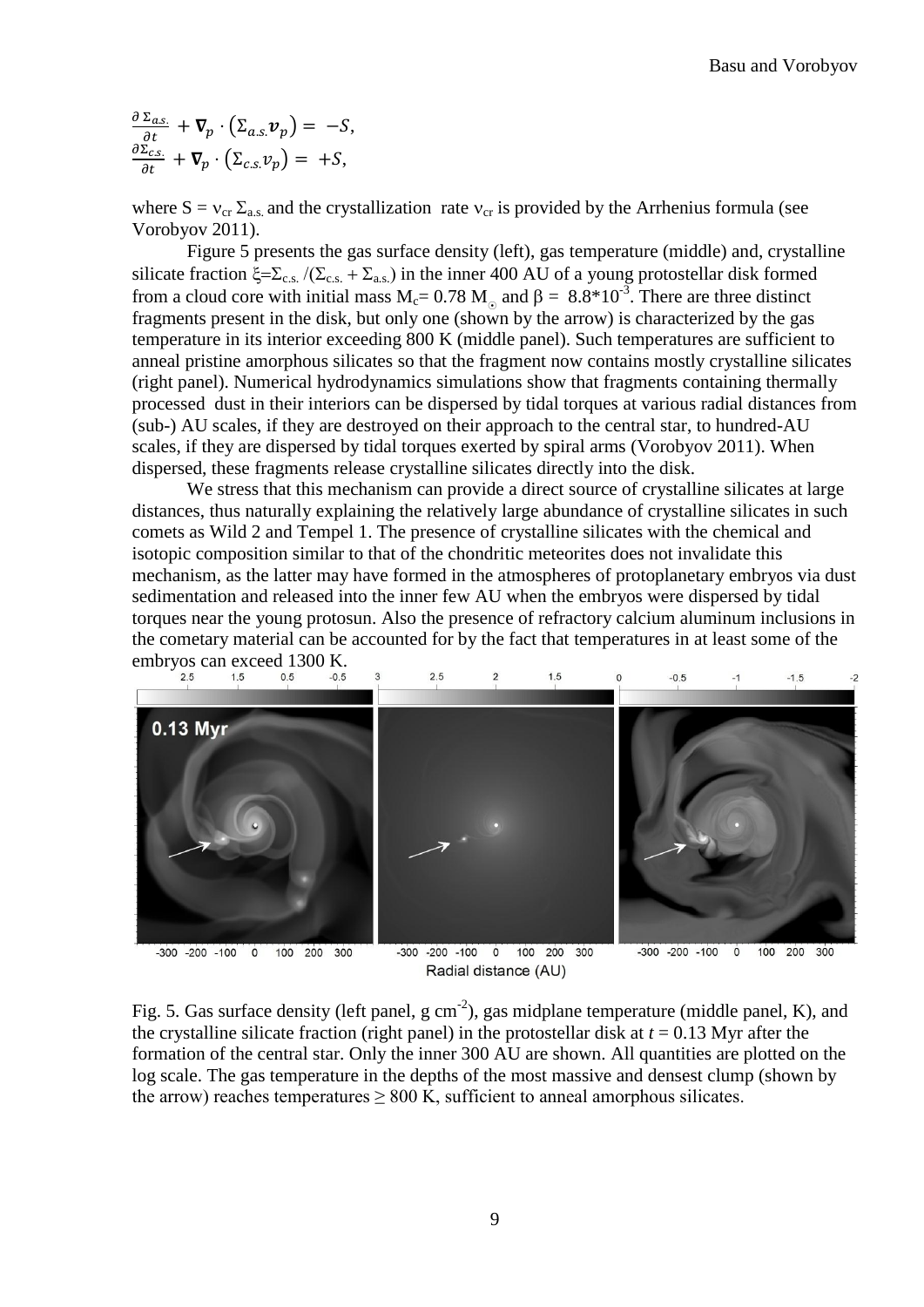$\frac{\partial \Sigma_{a.s.}}{\partial t} + \nabla_p \cdot (\Sigma_{a.s.} \nu_p) = -S,$ <br>  $\frac{\partial \Sigma_{c.s.}}{\partial t} + \nabla_p \cdot (\Sigma_{c.s.} \nu_p) = +S,$ 

where  $S = v_{cr} \Sigma_{as}$  and the crystallization rate  $v_{cr}$  is provided by the Arrhenius formula (see Vorobyov 2011).

Figure 5 presents the gas surface density (left), gas temperature (middle) and, crystalline silicate fraction  $\xi = \sum_{c.s.} / (\sum_{c.s.} + \sum_{a.s.})$  in the inner 400 AU of a young protostellar disk formed from a cloud core with initial mass  $M_c = 0.78 M_\odot$  and  $\beta = 8.8*10^{-3}$ . There are three distinct fragments present in the disk, but only one (shown by the arrow) is characterized by the gas temperature in its interior exceeding 800 K (middle panel). Such temperatures are sufficient to anneal pristine amorphous silicates so that the fragment now contains mostly crystalline silicates (right panel). Numerical hydrodynamics simulations show that fragments containing thermally processed dust in their interiors can be dispersed by tidal torques at various radial distances from (sub-) AU scales, if they are destroyed on their approach to the central star, to hundred-AU scales, if they are dispersed by tidal torques exerted by spiral arms (Vorobyov 2011). When dispersed, these fragments release crystalline silicates directly into the disk.

We stress that this mechanism can provide a direct source of crystalline silicates at large distances, thus naturally explaining the relatively large abundance of crystalline silicates in such comets as Wild 2 and Tempel 1. The presence of crystalline silicates with the chemical and isotopic composition similar to that of the chondritic meteorites does not invalidate this mechanism, as the latter may have formed in the atmospheres of protoplanetary embryos via dust sedimentation and released into the inner few AU when the embryos were dispersed by tidal torques near the young protosun. Also the presence of refractory calcium aluminum inclusions in the cometary material can be accounted for by the fact that temperatures in at least some of the embryos can exceed 1300 K.<br> $_{2.5}^{2.5}$   $_{1.5}^{1.5}$   $_{0.5}^{0.5}$   $_{-0.5}^{0.5}$ 



Radial distance (AU)

100 200 300

Fig. 5. Gas surface density (left panel,  $g \text{ cm}^{-2}$ ), gas midplane temperature (middle panel, K), and the crystalline silicate fraction (right panel) in the protostellar disk at  $t = 0.13$  Myr after the formation of the central star. Only the inner 300 AU are shown. All quantities are plotted on the log scale. The gas temperature in the depths of the most massive and densest clump (shown by the arrow) reaches temperatures  $\geq 800$  K, sufficient to anneal amorphous silicates.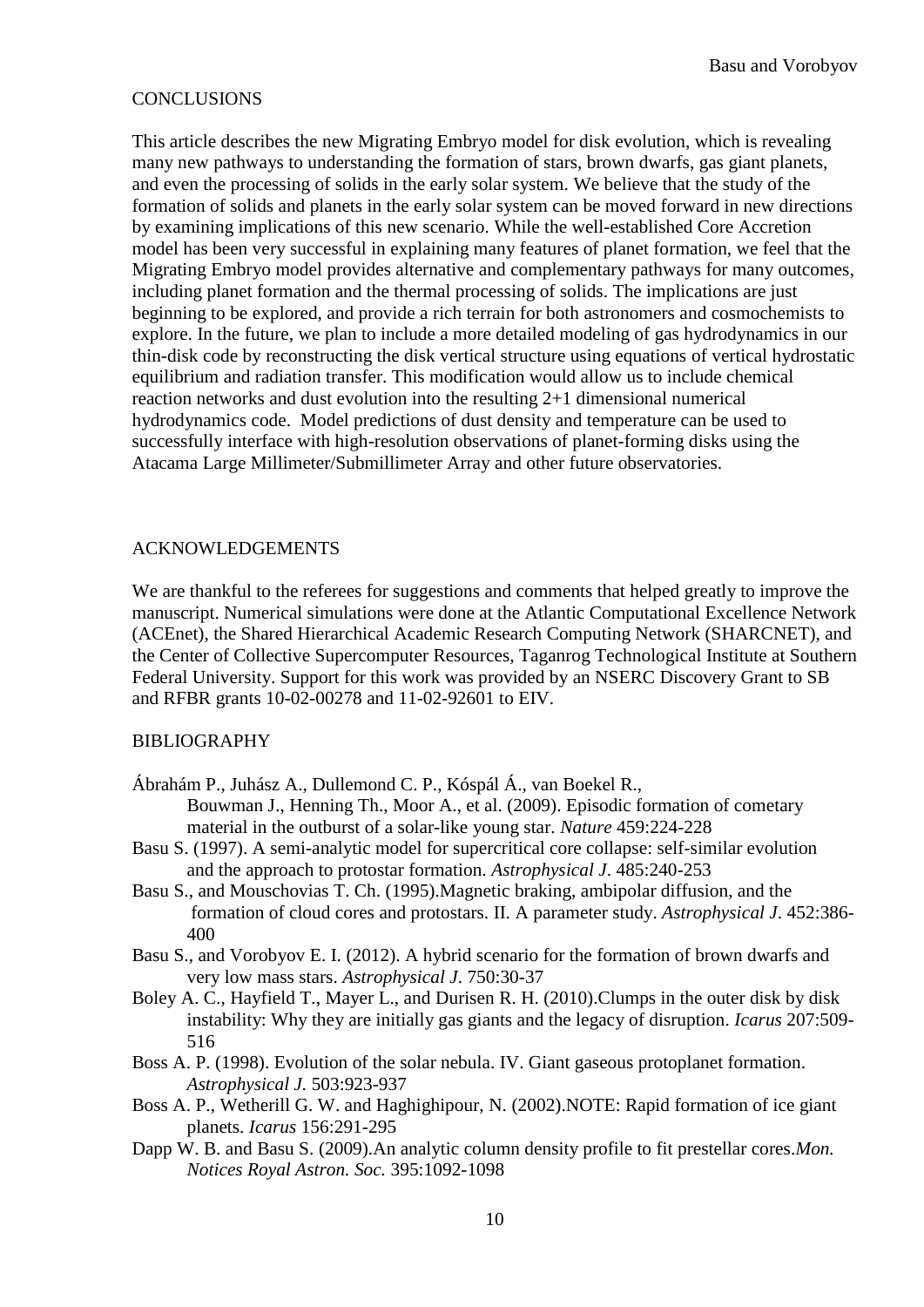# **CONCLUSIONS**

This article describes the new Migrating Embryo model for disk evolution, which is revealing many new pathways to understanding the formation of stars, brown dwarfs, gas giant planets, and even the processing of solids in the early solar system. We believe that the study of the formation of solids and planets in the early solar system can be moved forward in new directions by examining implications of this new scenario. While the well-established Core Accretion model has been very successful in explaining many features of planet formation, we feel that the Migrating Embryo model provides alternative and complementary pathways for many outcomes, including planet formation and the thermal processing of solids. The implications are just beginning to be explored, and provide a rich terrain for both astronomers and cosmochemists to explore. In the future, we plan to include a more detailed modeling of gas hydrodynamics in our thin-disk code by reconstructing the disk vertical structure using equations of vertical hydrostatic equilibrium and radiation transfer. This modification would allow us to include chemical reaction networks and dust evolution into the resulting 2+1 dimensional numerical hydrodynamics code. Model predictions of dust density and temperature can be used to successfully interface with high-resolution observations of planet-forming disks using the Atacama Large Millimeter/Submillimeter Array and other future observatories.

# ACKNOWLEDGEMENTS

We are thankful to the referees for suggestions and comments that helped greatly to improve the manuscript. Numerical simulations were done at the Atlantic Computational Excellence Network (ACEnet), the Shared Hierarchical Academic Research Computing Network (SHARCNET), and the Center of Collective Supercomputer Resources, Taganrog Technological Institute at Southern Federal University. Support for this work was provided by an NSERC Discovery Grant to SB and RFBR grants 10-02-00278 and 11-02-92601 to EIV.

## BIBLIOGRAPHY

Ábrahám P., Juhász A., Dullemond C. P., Kóspál Á., van Boekel R.,

Bouwman J., Henning Th., Moor A., et al. (2009). Episodic formation of cometary material in the outburst of a solar-like young star. *Nature* 459:224-228

- Basu S. (1997). A semi-analytic model for supercritical core collapse: self-similar evolution and the approach to protostar formation. *Astrophysical J*. 485:240-253
- Basu S., and Mouschovias T. Ch. (1995).Magnetic braking, ambipolar diffusion, and the formation of cloud cores and protostars. II. A parameter study. *Astrophysical J*. 452:386- 400
- Basu S., and Vorobyov E. I. (2012). A hybrid scenario for the formation of brown dwarfs and very low mass stars. *Astrophysical J*. 750:30-37
- Boley A. C., Hayfield T., Mayer L., and Durisen R. H. (2010).Clumps in the outer disk by disk instability: Why they are initially gas giants and the legacy of disruption. *Icarus* 207:509- 516
- Boss A. P. (1998). Evolution of the solar nebula. IV. Giant gaseous protoplanet formation. *Astrophysical J.* 503:923-937
- Boss A. P., Wetherill G. W. and Haghighipour, N. (2002).NOTE: Rapid formation of ice giant planets. *Icarus* 156:291-295
- Dapp W. B. and Basu S. (2009).An analytic column density profile to fit prestellar cores.*Mon. Notices Royal Astron. Soc.* 395:1092-1098